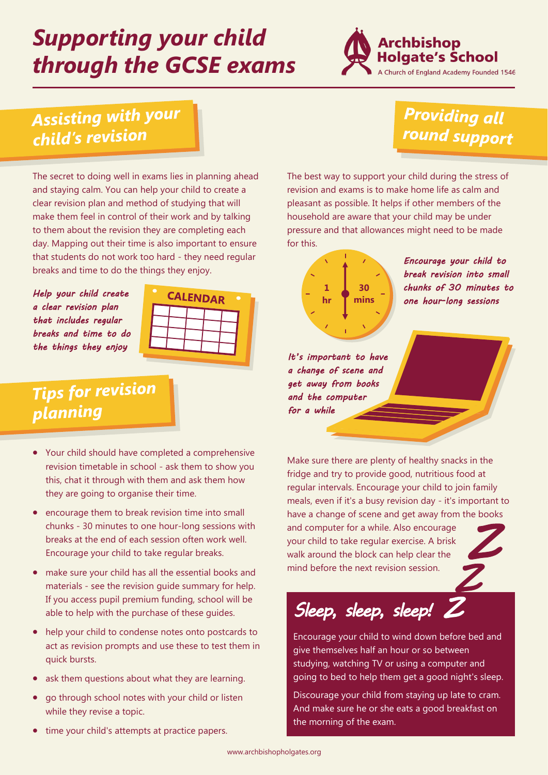# *Supporting your child through the GCSE exams*



### **Assisting with your** child's revision

#### **Providing all** round support

The secret to doing well in exams lies in planning ahead and staying calm. You can help your child to create a clear revision plan and method of studying that will make them feel in control of their work and by talking to them about the revision they are completing each day. Mapping out their time is also important to ensure that students do not work too hard - they need regular breaks and time to do the things they enjoy.

*Help your child create a clear revision plan that includes regular breaks and time to do the things they enjoy* 



### **Tips for revision** planning

- Your child should have completed a comprehensive revision timetable in school - ask them to show you this, chat it through with them and ask them how they are going to organise their time.
- encourage them to break revision time into small chunks - 30 minutes to one hour-long sessions with breaks at the end of each session often work well. Encourage your child to take regular breaks.
- make sure your child has all the essential books and materials - see the revision guide summary for help. If you access pupil premium funding, school will be able to help with the purchase of these guides.
- help your child to condense notes onto postcards to act as revision prompts and use these to test them in quick bursts.
- ask them questions about what they are learning.
- go through school notes with your child or listen while they revise a topic.
- time your child's attempts at practice papers.

The best way to support your child during the stress of revision and exams is to make home life as calm and pleasant as possible. It helps if other members of the household are aware that your child may be under pressure and that allowances might need to be made for this.



*Encourage your child to break revision into small chunks of 30 minutes to one hour-long sessions* 

*It's important to have a change of scene and get away from books and the computer for a while* 

Make sure there are plenty of healthy snacks in the fridge and try to provide good, nutritious food at regular intervals. Encourage your child to join family meals, even if it's a busy revision day - it's important to have a change of scene and get away from the books and computer for a while. Also encourage your child to take regular exercise. A brisk walk around the block can help clear the mind before the next revision session. *Z Z* 

*Sleep, sleep, sleep! Z* 

Encourage your child to wind down before bed and give themselves half an hour or so between studying, watching TV or using a computer and going to bed to help them get a good night's sleep.

Discourage your child from staying up late to cram. And make sure he or she eats a good breakfast on the morning of the exam.